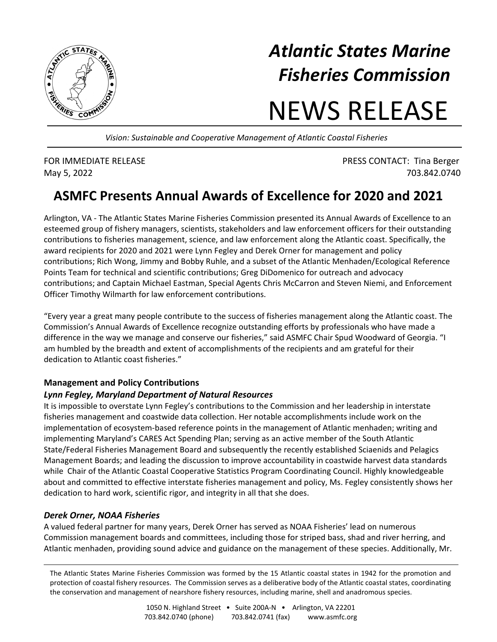

## *Atlantic States Marine Fisheries Commission*

# NEWS RELEASE

*Vision: Sustainable and Cooperative Management of Atlantic Coastal Fisheries* 

FOR IMMEDIATE RELEASE **FOR IMMEDIATE RELEASE PRESS CONTACT:** Tina Berger May 5, 2022 703.842.0740

### **ASMFC Presents Annual Awards of Excellence for 2020 and 2021**

Arlington, VA - The Atlantic States Marine Fisheries Commission presented its Annual Awards of Excellence to an esteemed group of fishery managers, scientists, stakeholders and law enforcement officers for their outstanding contributions to fisheries management, science, and law enforcement along the Atlantic coast. Specifically, the award recipients for 2020 and 2021 were Lynn Fegley and Derek Orner for management and policy contributions; Rich Wong, Jimmy and Bobby Ruhle, and a subset of the Atlantic Menhaden/Ecological Reference Points Team for technical and scientific contributions; Greg DiDomenico for outreach and advocacy contributions; and Captain Michael Eastman, Special Agents Chris McCarron and Steven Niemi, and Enforcement Officer Timothy Wilmarth for law enforcement contributions.

"Every year a great many people contribute to the success of fisheries management along the Atlantic coast. The Commission's Annual Awards of Excellence recognize outstanding efforts by professionals who have made a difference in the way we manage and conserve our fisheries," said ASMFC Chair Spud Woodward of Georgia. "I am humbled by the breadth and extent of accomplishments of the recipients and am grateful for their dedication to Atlantic coast fisheries."

#### **Management and Policy Contributions**

#### *Lynn Fegley, Maryland Department of Natural Resources*

It is impossible to overstate Lynn Fegley's contributions to the Commission and her leadership in interstate fisheries management and coastwide data collection. Her notable accomplishments include work on the implementation of ecosystem-based reference points in the management of Atlantic menhaden; writing and implementing Maryland's CARES Act Spending Plan; serving as an active member of the South Atlantic State/Federal Fisheries Management Board and subsequently the recently established Sciaenids and Pelagics Management Boards; and leading the discussion to improve accountability in coastwide harvest data standards while Chair of the Atlantic Coastal Cooperative Statistics Program Coordinating Council. Highly knowledgeable about and committed to effective interstate fisheries management and policy, Ms. Fegley consistently shows her dedication to hard work, scientific rigor, and integrity in all that she does.

#### *Derek Orner, NOAA Fisheries*

A valued federal partner for many years, Derek Orner has served as NOAA Fisheries' lead on numerous Commission management boards and committees, including those for striped bass, shad and river herring, and Atlantic menhaden, providing sound advice and guidance on the management of these species. Additionally, Mr.

The Atlantic States Marine Fisheries Commission was formed by the 15 Atlantic coastal states in 1942 for the promotion and protection of coastal fishery resources. The Commission serves as a deliberative body of the Atlantic coastal states, coordinating the conservation and management of nearshore fishery resources, including marine, shell and anadromous species.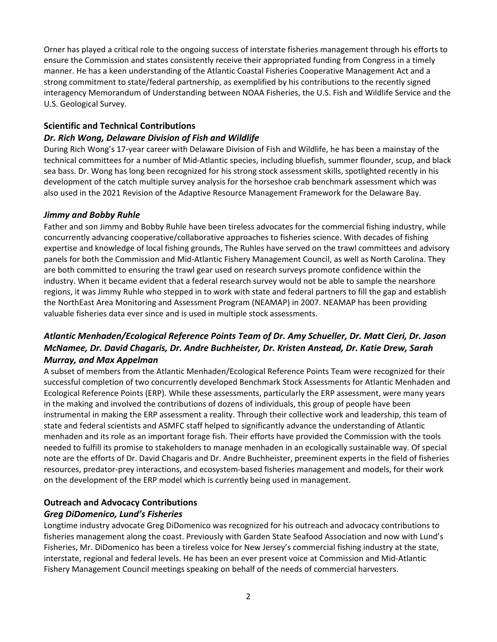Orner has played a critical role to the ongoing success of interstate fisheries management through his efforts to ensure the Commission and states consistently receive their appropriated funding from Congress in a timely manner. He has a keen understanding of the Atlantic Coastal Fisheries Cooperative Management Act and a strong commitment to state/federal partnership, as exemplified by his contributions to the recently signed interagency Memorandum of Understanding between NOAA Fisheries, the U.S. Fish and Wildlife Service and the U.S. Geological Survey.

#### **Scientific and Technical Contributions**

#### *Dr. Rich Wong, Delaware Division of Fish and Wildlife*

During Rich Wong's 17-year career with Delaware Division of Fish and Wildlife, he has been a mainstay of the technical committees for a number of Mid-Atlantic species, including bluefish, summer flounder, scup, and black sea bass. Dr. Wong has long been recognized for his strong stock assessment skills, spotlighted recently in his development of the catch multiple survey analysis for the horseshoe crab benchmark assessment which was also used in the 2021 Revision of the Adaptive Resource Management Framework for the Delaware Bay.

#### *Jimmy and Bobby Ruhle*

Father and son Jimmy and Bobby Ruhle have been tireless advocates for the commercial fishing industry, while concurrently advancing cooperative/collaborative approaches to fisheries science. With decades of fishing expertise and knowledge of local fishing grounds, The Ruhles have served on the trawl committees and advisory panels for both the Commission and Mid-Atlantic Fishery Management Council, as well as North Carolina. They are both committed to ensuring the trawl gear used on research surveys promote confidence within the industry. When it became evident that a federal research survey would not be able to sample the nearshore regions, it was Jimmy Ruhle who stepped in to work with state and federal partners to fill the gap and establish the NorthEast Area Monitoring and Assessment Program (NEAMAP) in 2007. NEAMAP has been providing valuable fisheries data ever since and is used in multiple stock assessments.

#### *Atlantic Menhaden/Ecological Reference Points Team of Dr. Amy Schueller, Dr. Matt Cieri, Dr. Jason McNamee, Dr. David Chagaris, Dr. Andre Buchheister, Dr. Kristen Anstead, Dr. Katie Drew, Sarah Murray, and Max Appelman*

A subset of members from the Atlantic Menhaden/Ecological Reference Points Team were recognized for their successful completion of two concurrently developed Benchmark Stock Assessments for Atlantic Menhaden and Ecological Reference Points (ERP). While these assessments, particularly the ERP assessment, were many years in the making and involved the contributions of dozens of individuals, this group of people have been instrumental in making the ERP assessment a reality. Through their collective work and leadership, this team of state and federal scientists and ASMFC staff helped to significantly advance the understanding of Atlantic menhaden and its role as an important forage fish. Their efforts have provided the Commission with the tools needed to fulfill its promise to stakeholders to manage menhaden in an ecologically sustainable way. Of special note are the efforts of Dr. David Chagaris and Dr. Andre Buchheister, preeminent experts in the field of fisheries resources, predator-prey interactions, and ecosystem-based fisheries management and models, for their work on the development of the ERP model which is currently being used in management.

#### **Outreach and Advocacy Contributions**

#### *Greg DiDomenico, Lund's Fisheries*

Longtime industry advocate Greg DiDomenico was recognized for his outreach and advocacy contributions to fisheries management along the coast. Previously with Garden State Seafood Association and now with Lund's Fisheries, Mr. DiDomenico has been a tireless voice for New Jersey's commercial fishing industry at the state, interstate, regional and federal levels. He has been an ever present voice at Commission and Mid-Atlantic Fishery Management Council meetings speaking on behalf of the needs of commercial harvesters.